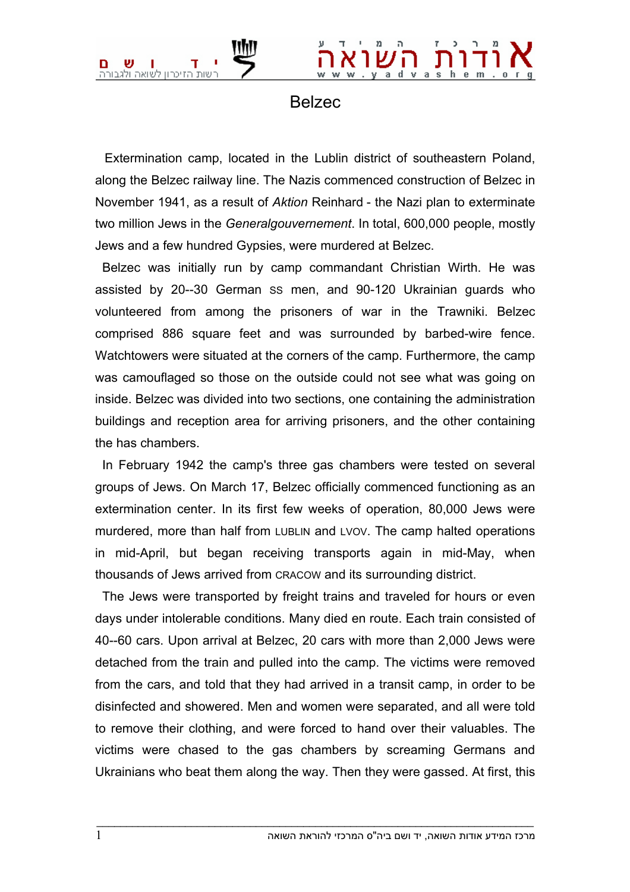

## Belzec

Extermination camp, located in the Lublin district of southeastern Poland, along the Belzec railway line. The Nazis commenced construction of Belzec in November 1941, as a result of *Aktion* Reinhard - the Nazi plan to exterminate two million Jews in the *Generalgouvernement*. In total, 600,000 people, mostly Jews and a few hundred Gypsies, were murdered at Belzec.

 Belzec was initially run by camp commandant Christian Wirth. He was assisted by 20--30 German SS men, and 90-120 Ukrainian guards who volunteered from among the prisoners of war in the Trawniki. Belzec comprised 886 square feet and was surrounded by barbed-wire fence. Watchtowers were situated at the corners of the camp. Furthermore, the camp was camouflaged so those on the outside could not see what was going on inside. Belzec was divided into two sections, one containing the administration buildings and reception area for arriving prisoners, and the other containing the has chambers.

 In February 1942 the camp's three gas chambers were tested on several groups of Jews. On March 17, Belzec officially commenced functioning as an extermination center. In its first few weeks of operation, 80,000 Jews were murdered, more than half from LUBLIN and LVOV. The camp halted operations in mid-April, but began receiving transports again in mid-May, when thousands of Jews arrived from CRACOW and its surrounding district.

 The Jews were transported by freight trains and traveled for hours or even days under intolerable conditions. Many died en route. Each train consisted of 40--60 cars. Upon arrival at Belzec, 20 cars with more than 2,000 Jews were detached from the train and pulled into the camp. The victims were removed from the cars, and told that they had arrived in a transit camp, in order to be disinfected and showered. Men and women were separated, and all were told to remove their clothing, and were forced to hand over their valuables. The victims were chased to the gas chambers by screaming Germans and Ukrainians who beat them along the way. Then they were gassed. At first, this

 $\mathcal{L}_\text{max}$  , and the set of the set of the set of the set of the set of the set of the set of the set of the set of the set of the set of the set of the set of the set of the set of the set of the set of the set of the